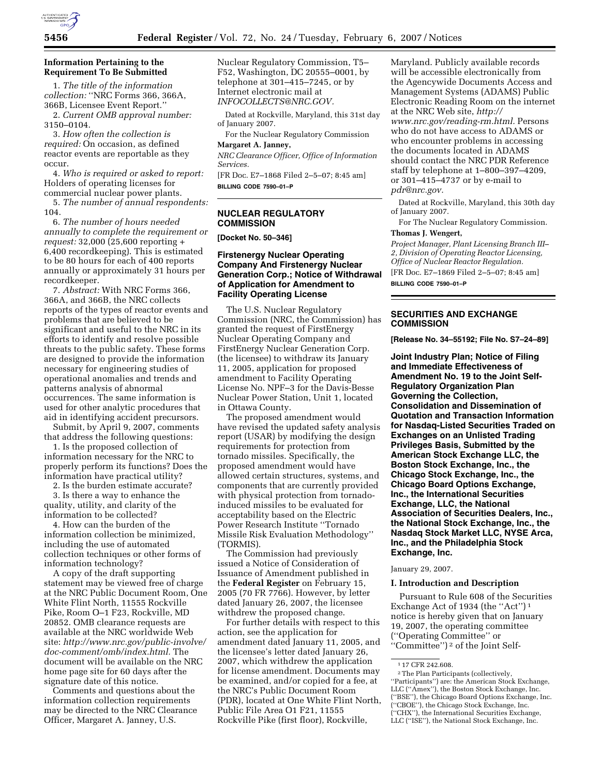

# **Information Pertaining to the Requirement To Be Submitted**

1. *The title of the information collection:* ''NRC Forms 366, 366A, 366B, Licensee Event Report.''

2. *Current OMB approval number:*  3150–0104.

3. *How often the collection is required:* On occasion, as defined reactor events are reportable as they occur.

4. *Who is required or asked to report:*  Holders of operating licenses for commercial nuclear power plants.

5. *The number of annual respondents:*  104.

6. *The number of hours needed annually to complete the requirement or request:* 32,000 (25,600 reporting + 6,400 recordkeeping). This is estimated to be 80 hours for each of 400 reports annually or approximately 31 hours per recordkeeper.

7. *Abstract:* With NRC Forms 366, 366A, and 366B, the NRC collects reports of the types of reactor events and problems that are believed to be significant and useful to the NRC in its efforts to identify and resolve possible threats to the public safety. These forms are designed to provide the information necessary for engineering studies of operational anomalies and trends and patterns analysis of abnormal occurrences. The same information is used for other analytic procedures that aid in identifying accident precursors.

Submit, by April 9, 2007, comments that address the following questions:

1. Is the proposed collection of information necessary for the NRC to properly perform its functions? Does the information have practical utility?

2. Is the burden estimate accurate?

3. Is there a way to enhance the quality, utility, and clarity of the information to be collected?

4. How can the burden of the information collection be minimized, including the use of automated collection techniques or other forms of information technology?

A copy of the draft supporting statement may be viewed free of charge at the NRC Public Document Room, One White Flint North, 11555 Rockville Pike, Room O–1 F23, Rockville, MD 20852. OMB clearance requests are available at the NRC worldwide Web site: *http://www.nrc.gov/public-involve/ doc-comment/omb/index.html.* The document will be available on the NRC home page site for 60 days after the signature date of this notice.

Comments and questions about the information collection requirements may be directed to the NRC Clearance Officer, Margaret A. Janney, U.S.

Nuclear Regulatory Commission, T5– F52, Washington, DC 20555–0001, by telephone at 301–415–7245, or by Internet electronic mail at *INFOCOLLECTS@NRC.GOV.* 

Dated at Rockville, Maryland, this 31st day of January 2007.

For the Nuclear Regulatory Commission **Margaret A. Janney,** 

*NRC Clearance Officer, Office of Information Services.* 

[FR Doc. E7–1868 Filed 2–5–07; 8:45 am] **BILLING CODE 7590–01–P** 

# **NUCLEAR REGULATORY COMMISSION**

**[Docket No. 50–346]** 

# **Firstenergy Nuclear Operating Company And Firstenergy Nuclear Generation Corp.; Notice of Withdrawal of Application for Amendment to Facility Operating License**

The U.S. Nuclear Regulatory Commission (NRC, the Commission) has granted the request of FirstEnergy Nuclear Operating Company and FirstEnergy Nuclear Generation Corp. (the licensee) to withdraw its January 11, 2005, application for proposed amendment to Facility Operating License No. NPF–3 for the Davis-Besse Nuclear Power Station, Unit 1, located in Ottawa County.

The proposed amendment would have revised the updated safety analysis report (USAR) by modifying the design requirements for protection from tornado missiles. Specifically, the proposed amendment would have allowed certain structures, systems, and components that are currently provided with physical protection from tornadoinduced missiles to be evaluated for acceptability based on the Electric Power Research Institute ''Tornado Missile Risk Evaluation Methodology'' (TORMIS).

The Commission had previously issued a Notice of Consideration of Issuance of Amendment published in the **Federal Register** on February 15, 2005 (70 FR 7766). However, by letter dated January 26, 2007, the licensee withdrew the proposed change.

For further details with respect to this action, see the application for amendment dated January 11, 2005, and the licensee's letter dated January 26, 2007, which withdrew the application for license amendment. Documents may be examined, and/or copied for a fee, at the NRC's Public Document Room (PDR), located at One White Flint North, Public File Area O1 F21, 11555 Rockville Pike (first floor), Rockville,

Maryland. Publicly available records will be accessible electronically from the Agencywide Documents Access and Management Systems (ADAMS) Public Electronic Reading Room on the internet at the NRC Web site, *http:// www.nrc.gov/reading-rm.html.* Persons who do not have access to ADAMS or who encounter problems in accessing the documents located in ADAMS should contact the NRC PDR Reference staff by telephone at 1–800–397–4209, or 301–415–4737 or by e-mail to *pdr@nrc.gov.* 

Dated at Rockville, Maryland, this 30th day of January 2007.

For The Nuclear Regulatory Commission.

# **Thomas J. Wengert,**

*Project Manager, Plant Licensing Branch III– 2, Division of Operating Reactor Licensing, Office of Nuclear Reactor Regulation.*  [FR Doc. E7–1869 Filed 2–5–07; 8:45 am]

**BILLING CODE 7590–01–P** 

# **SECURITIES AND EXCHANGE COMMISSION**

**[Release No. 34–55192; File No. S7–24–89]** 

**Joint Industry Plan; Notice of Filing and Immediate Effectiveness of Amendment No. 19 to the Joint Self-Regulatory Organization Plan Governing the Collection, Consolidation and Dissemination of Quotation and Transaction Information for Nasdaq-Listed Securities Traded on Exchanges on an Unlisted Trading Privileges Basis, Submitted by the American Stock Exchange LLC, the Boston Stock Exchange, Inc., the Chicago Stock Exchange, Inc., the Chicago Board Options Exchange, Inc., the International Securities Exchange, LLC, the National Association of Securities Dealers, Inc., the National Stock Exchange, Inc., the Nasdaq Stock Market LLC, NYSE Arca, Inc., and the Philadelphia Stock Exchange, Inc.** 

January 29, 2007.

#### **I. Introduction and Description**

Pursuant to Rule 608 of the Securities Exchange Act of 1934 (the "Act")<sup>1</sup> notice is hereby given that on January 19, 2007, the operating committee (''Operating Committee'' or ''Committee'') 2 of the Joint Self-

<sup>1</sup> 17 CFR 242.608.

<sup>2</sup>The Plan Participants (collectively, ''Participants'') are: the American Stock Exchange, LLC (''Amex''), the Boston Stock Exchange, Inc. (''BSE''), the Chicago Board Options Exchange, Inc. (''CBOE''), the Chicago Stock Exchange, Inc. (''CHX''), the International Securities Exchange, LLC (''ISE''), the National Stock Exchange, Inc.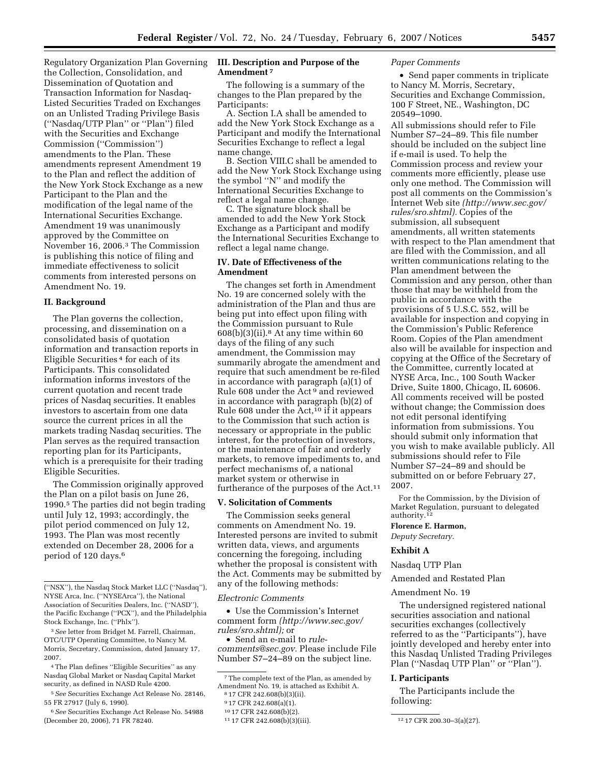Regulatory Organization Plan Governing the Collection, Consolidation, and Dissemination of Quotation and Transaction Information for Nasdaq-Listed Securities Traded on Exchanges on an Unlisted Trading Privilege Basis (''Nasdaq/UTP Plan'' or ''Plan'') filed with the Securities and Exchange Commission (''Commission'') amendments to the Plan. These amendments represent Amendment 19 to the Plan and reflect the addition of the New York Stock Exchange as a new Participant to the Plan and the modification of the legal name of the International Securities Exchange. Amendment 19 was unanimously approved by the Committee on November 16, 2006.3 The Commission is publishing this notice of filing and immediate effectiveness to solicit comments from interested persons on Amendment No. 19.

#### **II. Background**

The Plan governs the collection, processing, and dissemination on a consolidated basis of quotation information and transaction reports in Eligible Securities 4 for each of its Participants. This consolidated information informs investors of the current quotation and recent trade prices of Nasdaq securities. It enables investors to ascertain from one data source the current prices in all the markets trading Nasdaq securities. The Plan serves as the required transaction reporting plan for its Participants, which is a prerequisite for their trading Eligible Securities.

The Commission originally approved the Plan on a pilot basis on June 26, 1990.5 The parties did not begin trading until July 12, 1993; accordingly, the pilot period commenced on July 12, 1993. The Plan was most recently extended on December 28, 2006 for a period of 120 days.6

# **III. Description and Purpose of the Amendment 7**

The following is a summary of the changes to the Plan prepared by the Participants:

A. Section I.A shall be amended to add the New York Stock Exchange as a Participant and modify the International Securities Exchange to reflect a legal name change.

B. Section VIII.C shall be amended to add the New York Stock Exchange using the symbol ''N'' and modify the International Securities Exchange to reflect a legal name change.

C. The signature block shall be amended to add the New York Stock Exchange as a Participant and modify the International Securities Exchange to reflect a legal name change.

# **IV. Date of Effectiveness of the Amendment**

The changes set forth in Amendment No. 19 are concerned solely with the administration of the Plan and thus are being put into effect upon filing with the Commission pursuant to Rule  $608(b)(3)(ii).$ <sup>8</sup> At any time within 60 days of the filing of any such amendment, the Commission may summarily abrogate the amendment and require that such amendment be re-filed in accordance with paragraph (a)(1) of Rule 608 under the Act 9 and reviewed in accordance with paragraph (b)(2) of Rule 608 under the  $Act<sub>10</sub>$  if it appears to the Commission that such action is necessary or appropriate in the public interest, for the protection of investors, or the maintenance of fair and orderly markets, to remove impediments to, and perfect mechanisms of, a national market system or otherwise in furtherance of the purposes of the Act.11

### **V. Solicitation of Comments**

The Commission seeks general comments on Amendment No. 19. Interested persons are invited to submit written data, views, and arguments concerning the foregoing, including whether the proposal is consistent with the Act. Comments may be submitted by any of the following methods:

*Electronic Comments* 

• Use the Commission's Internet comment form *(http://www.sec.gov/ rules/sro.shtml);* or

• Send an e-mail to *rulecomments@sec.gov.* Please include File Number S7–24–89 on the subject line.

7The complete text of the Plan, as amended by Amendment No. 19, is attached as Exhibit A.  $817$  CFR 242.608(b)(3)(ii).

# *Paper Comments*

• Send paper comments in triplicate to Nancy M. Morris, Secretary, Securities and Exchange Commission, 100 F Street, NE., Washington, DC 20549–1090.

All submissions should refer to File Number S7–24–89. This file number should be included on the subject line if e-mail is used. To help the Commission process and review your comments more efficiently, please use only one method. The Commission will post all comments on the Commission's Internet Web site *(http://www.sec.gov/ rules/sro.shtml).* Copies of the submission, all subsequent amendments, all written statements with respect to the Plan amendment that are filed with the Commission, and all written communications relating to the Plan amendment between the Commission and any person, other than those that may be withheld from the public in accordance with the provisions of 5 U.S.C. 552, will be available for inspection and copying in the Commission's Public Reference Room. Copies of the Plan amendment also will be available for inspection and copying at the Office of the Secretary of the Committee, currently located at NYSE Arca, Inc., 100 South Wacker Drive, Suite 1800, Chicago, IL 60606. All comments received will be posted without change; the Commission does not edit personal identifying information from submissions. You should submit only information that you wish to make available publicly. All submissions should refer to File Number S7–24–89 and should be submitted on or before February 27, 2007.

For the Commission, by the Division of Market Regulation, pursuant to delegated authority.<sup>12</sup>

#### **Florence E. Harmon,**

*Deputy Secretary.* 

#### **Exhibit A**

Nasdaq UTP Plan

Amended and Restated Plan

#### Amendment No. 19

The undersigned registered national securities association and national securities exchanges (collectively referred to as the "Participants"), have jointly developed and hereby enter into this Nasdaq Unlisted Trading Privileges Plan (''Nasdaq UTP Plan'' or ''Plan'').

### **I. Participants**

The Participants include the following:

<sup>(&#</sup>x27;'NSX''), the Nasdaq Stock Market LLC (''Nasdaq''), NYSE Arca, Inc. (''NYSEArca''), the National Association of Securities Dealers, Inc. (''NASD''), the Pacific Exchange (''PCX''), and the Philadelphia Stock Exchange, Inc. (''Phlx'').

<sup>3</sup>*See* letter from Bridget M. Farrell, Chairman, OTC/UTP Operating Committee, to Nancy M. Morris, Secretary, Commission, dated January 17, 2007.

<sup>4</sup>The Plan defines ''Eligible Securities'' as any Nasdaq Global Market or Nasdaq Capital Market security, as defined in NASD Rule 4200.

<sup>5</sup>*See* Securities Exchange Act Release No. 28146, 55 FR 27917 (July 6, 1990).

<sup>6</sup>*See* Securities Exchange Act Release No. 54988 (December 20, 2006), 71 FR 78240.

<sup>9</sup> 17 CFR 242.608(a)(1).

<sup>10</sup> 17 CFR 242.608(b)(2).

<sup>11</sup> 17 CFR 242.608(b)(3)(iii). 12 17 CFR 200.30–3(a)(27).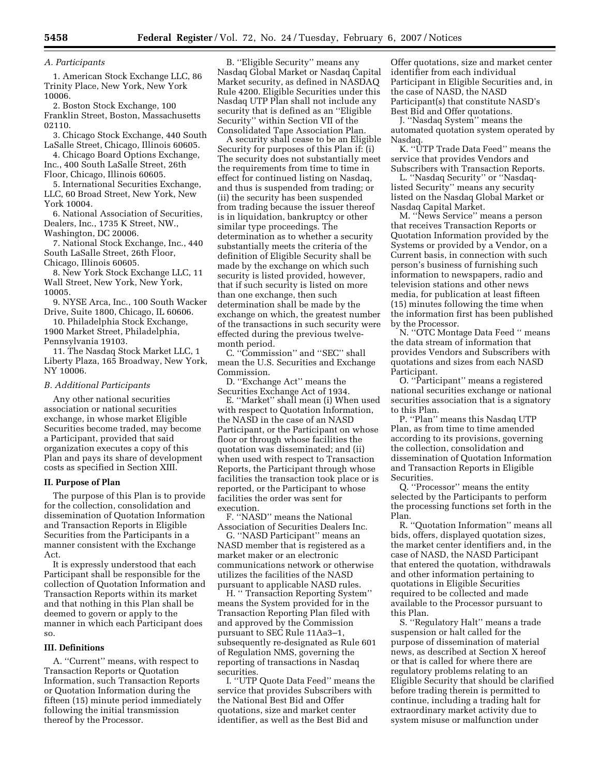#### *A. Participants*

1. American Stock Exchange LLC, 86 Trinity Place, New York, New York 10006.

2. Boston Stock Exchange, 100 Franklin Street, Boston, Massachusetts 02110.

3. Chicago Stock Exchange, 440 South LaSalle Street, Chicago, Illinois 60605.

4. Chicago Board Options Exchange, Inc., 400 South LaSalle Street, 26th

Floor, Chicago, Illinois 60605. 5. International Securities Exchange, LLC, 60 Broad Street, New York, New York 10004.

6. National Association of Securities, Dealers, Inc., 1735 K Street, NW., Washington, DC 20006.

7. National Stock Exchange, Inc., 440 South LaSalle Street, 26th Floor, Chicago, Illinois 60605.

8. New York Stock Exchange LLC, 11 Wall Street, New York, New York, 10005.

9. NYSE Arca, Inc., 100 South Wacker Drive, Suite 1800, Chicago, IL 60606.

10. Philadelphia Stock Exchange, 1900 Market Street, Philadelphia, Pennsylvania 19103.

11. The Nasdaq Stock Market LLC, 1 Liberty Plaza, 165 Broadway, New York, NY 10006.

#### *B. Additional Participants*

Any other national securities association or national securities exchange, in whose market Eligible Securities become traded, may become a Participant, provided that said organization executes a copy of this Plan and pays its share of development costs as specified in Section XIII.

## **II. Purpose of Plan**

The purpose of this Plan is to provide for the collection, consolidation and dissemination of Quotation Information and Transaction Reports in Eligible Securities from the Participants in a manner consistent with the Exchange Act.

It is expressly understood that each Participant shall be responsible for the collection of Quotation Information and Transaction Reports within its market and that nothing in this Plan shall be deemed to govern or apply to the manner in which each Participant does so.

### **III. Definitions**

A. ''Current'' means, with respect to Transaction Reports or Quotation Information, such Transaction Reports or Quotation Information during the fifteen (15) minute period immediately following the initial transmission thereof by the Processor.

B. ''Eligible Security'' means any Nasdaq Global Market or Nasdaq Capital Market security, as defined in NASDAQ Rule 4200. Eligible Securities under this Nasdaq UTP Plan shall not include any security that is defined as an ''Eligible Security'' within Section VII of the Consolidated Tape Association Plan.

A security shall cease to be an Eligible Security for purposes of this Plan if: (i) The security does not substantially meet the requirements from time to time in effect for continued listing on Nasdaq, and thus is suspended from trading; or (ii) the security has been suspended from trading because the issuer thereof is in liquidation, bankruptcy or other similar type proceedings. The determination as to whether a security substantially meets the criteria of the definition of Eligible Security shall be made by the exchange on which such security is listed provided, however, that if such security is listed on more than one exchange, then such determination shall be made by the exchange on which, the greatest number of the transactions in such security were effected during the previous twelvemonth period.

C. ''Commission'' and ''SEC'' shall mean the U.S. Securities and Exchange Commission.

D. ''Exchange Act'' means the Securities Exchange Act of 1934.

E. ''Market'' shall mean (i) When used with respect to Quotation Information, the NASD in the case of an NASD Participant, or the Participant on whose floor or through whose facilities the quotation was disseminated; and (ii) when used with respect to Transaction Reports, the Participant through whose facilities the transaction took place or is reported, or the Participant to whose facilities the order was sent for execution.

F. ''NASD'' means the National Association of Securities Dealers Inc.

G. ''NASD Participant'' means an NASD member that is registered as a market maker or an electronic communications network or otherwise utilizes the facilities of the NASD pursuant to applicable NASD rules.

H. '' Transaction Reporting System'' means the System provided for in the Transaction Reporting Plan filed with and approved by the Commission pursuant to SEC Rule 11Aa3–1, subsequently re-designated as Rule 601 of Regulation NMS, governing the reporting of transactions in Nasdaq securities.

I. ''UTP Quote Data Feed'' means the service that provides Subscribers with the National Best Bid and Offer quotations, size and market center identifier, as well as the Best Bid and

Offer quotations, size and market center identifier from each individual Participant in Eligible Securities and, in the case of NASD, the NASD Participant(s) that constitute NASD's Best Bid and Offer quotations.

J. ''Nasdaq System'' means the automated quotation system operated by Nasdaq.

K. ''UTP Trade Data Feed'' means the service that provides Vendors and Subscribers with Transaction Reports.

L. ''Nasdaq Security'' or ''Nasdaqlisted Security'' means any security listed on the Nasdaq Global Market or Nasdaq Capital Market.

M. ''News Service'' means a person that receives Transaction Reports or Quotation Information provided by the Systems or provided by a Vendor, on a Current basis, in connection with such person's business of furnishing such information to newspapers, radio and television stations and other news media, for publication at least fifteen (15) minutes following the time when the information first has been published by the Processor.

N. ''OTC Montage Data Feed '' means the data stream of information that provides Vendors and Subscribers with quotations and sizes from each NASD Participant.

O. ''Participant'' means a registered national securities exchange or national securities association that is a signatory to this Plan.

P. ''Plan'' means this Nasdaq UTP Plan, as from time to time amended according to its provisions, governing the collection, consolidation and dissemination of Quotation Information and Transaction Reports in Eligible Securities.

Q. ''Processor'' means the entity selected by the Participants to perform the processing functions set forth in the Plan.

R. ''Quotation Information'' means all bids, offers, displayed quotation sizes, the market center identifiers and, in the case of NASD, the NASD Participant that entered the quotation, withdrawals and other information pertaining to quotations in Eligible Securities required to be collected and made available to the Processor pursuant to this Plan.

S. ''Regulatory Halt'' means a trade suspension or halt called for the purpose of dissemination of material news, as described at Section X hereof or that is called for where there are regulatory problems relating to an Eligible Security that should be clarified before trading therein is permitted to continue, including a trading halt for extraordinary market activity due to system misuse or malfunction under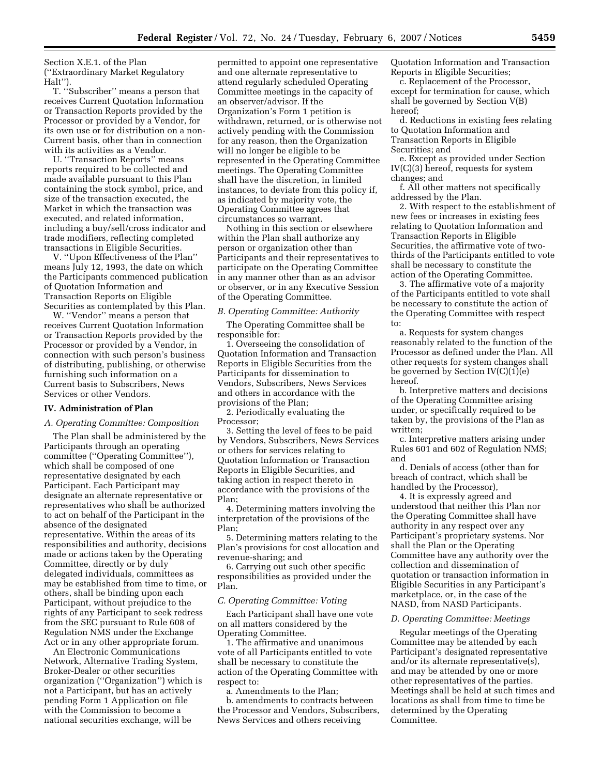Section X.E.1. of the Plan (''Extraordinary Market Regulatory Halt'').

T. ''Subscriber'' means a person that receives Current Quotation Information or Transaction Reports provided by the Processor or provided by a Vendor, for its own use or for distribution on a non-Current basis, other than in connection with its activities as a Vendor.

U. ''Transaction Reports'' means reports required to be collected and made available pursuant to this Plan containing the stock symbol, price, and size of the transaction executed, the Market in which the transaction was executed, and related information, including a buy/sell/cross indicator and trade modifiers, reflecting completed transactions in Eligible Securities.

V. ''Upon Effectiveness of the Plan'' means July 12, 1993, the date on which the Participants commenced publication of Quotation Information and Transaction Reports on Eligible Securities as contemplated by this Plan.

W. ''Vendor'' means a person that receives Current Quotation Information or Transaction Reports provided by the Processor or provided by a Vendor, in connection with such person's business of distributing, publishing, or otherwise furnishing such information on a Current basis to Subscribers, News Services or other Vendors.

#### **IV. Administration of Plan**

### *A. Operating Committee: Composition*

The Plan shall be administered by the Participants through an operating committee (''Operating Committee''), which shall be composed of one representative designated by each Participant. Each Participant may designate an alternate representative or representatives who shall be authorized to act on behalf of the Participant in the absence of the designated representative. Within the areas of its responsibilities and authority, decisions made or actions taken by the Operating Committee, directly or by duly delegated individuals, committees as may be established from time to time, or others, shall be binding upon each Participant, without prejudice to the rights of any Participant to seek redress from the SEC pursuant to Rule 608 of Regulation NMS under the Exchange Act or in any other appropriate forum.

An Electronic Communications Network, Alternative Trading System, Broker-Dealer or other securities organization (''Organization'') which is not a Participant, but has an actively pending Form 1 Application on file with the Commission to become a national securities exchange, will be

permitted to appoint one representative and one alternate representative to attend regularly scheduled Operating Committee meetings in the capacity of an observer/advisor. If the Organization's Form 1 petition is withdrawn, returned, or is otherwise not actively pending with the Commission for any reason, then the Organization will no longer be eligible to be represented in the Operating Committee meetings. The Operating Committee shall have the discretion, in limited instances, to deviate from this policy if, as indicated by majority vote, the Operating Committee agrees that circumstances so warrant.

Nothing in this section or elsewhere within the Plan shall authorize any person or organization other than Participants and their representatives to participate on the Operating Committee in any manner other than as an advisor or observer, or in any Executive Session of the Operating Committee.

### *B. Operating Committee: Authority*

The Operating Committee shall be responsible for:

1. Overseeing the consolidation of Quotation Information and Transaction Reports in Eligible Securities from the Participants for dissemination to Vendors, Subscribers, News Services and others in accordance with the provisions of the Plan;

2. Periodically evaluating the Processor;

3. Setting the level of fees to be paid by Vendors, Subscribers, News Services or others for services relating to Quotation Information or Transaction Reports in Eligible Securities, and taking action in respect thereto in accordance with the provisions of the Plan;

4. Determining matters involving the interpretation of the provisions of the Plan;

5. Determining matters relating to the Plan's provisions for cost allocation and revenue-sharing; and

6. Carrying out such other specific responsibilities as provided under the Plan.

#### *C. Operating Committee: Voting*

Each Participant shall have one vote on all matters considered by the Operating Committee.

1. The affirmative and unanimous vote of all Participants entitled to vote shall be necessary to constitute the action of the Operating Committee with respect to:

a. Amendments to the Plan;

b. amendments to contracts between the Processor and Vendors, Subscribers, News Services and others receiving

Quotation Information and Transaction Reports in Eligible Securities;

c. Replacement of the Processor, except for termination for cause, which shall be governed by Section V(B) hereof;

d. Reductions in existing fees relating to Quotation Information and Transaction Reports in Eligible Securities; and

e. Except as provided under Section IV(C)(3) hereof, requests for system changes; and

f. All other matters not specifically addressed by the Plan.

2. With respect to the establishment of new fees or increases in existing fees relating to Quotation Information and Transaction Reports in Eligible Securities, the affirmative vote of twothirds of the Participants entitled to vote shall be necessary to constitute the action of the Operating Committee.

3. The affirmative vote of a majority of the Participants entitled to vote shall be necessary to constitute the action of the Operating Committee with respect to:

a. Requests for system changes reasonably related to the function of the Processor as defined under the Plan. All other requests for system changes shall be governed by Section IV(C)(1)(e) hereof.

b. Interpretive matters and decisions of the Operating Committee arising under, or specifically required to be taken by, the provisions of the Plan as written;

c. Interpretive matters arising under Rules 601 and 602 of Regulation NMS; and

d. Denials of access (other than for breach of contract, which shall be handled by the Processor),

4. It is expressly agreed and understood that neither this Plan nor the Operating Committee shall have authority in any respect over any Participant's proprietary systems. Nor shall the Plan or the Operating Committee have any authority over the collection and dissemination of quotation or transaction information in Eligible Securities in any Participant's marketplace, or, in the case of the NASD, from NASD Participants.

#### *D. Operating Committee: Meetings*

Regular meetings of the Operating Committee may be attended by each Participant's designated representative and/or its alternate representative(s), and may be attended by one or more other representatives of the parties. Meetings shall be held at such times and locations as shall from time to time be determined by the Operating Committee.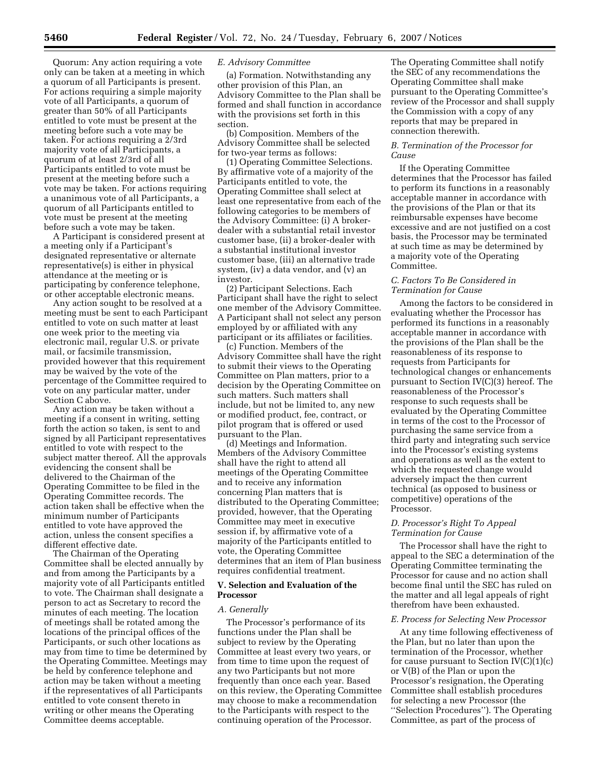Quorum: Any action requiring a vote only can be taken at a meeting in which a quorum of all Participants is present. For actions requiring a simple majority vote of all Participants, a quorum of greater than 50% of all Participants entitled to vote must be present at the meeting before such a vote may be taken. For actions requiring a 2/3rd majority vote of all Participants, a quorum of at least 2/3rd of all Participants entitled to vote must be present at the meeting before such a vote may be taken. For actions requiring a unanimous vote of all Participants, a quorum of all Participants entitled to vote must be present at the meeting before such a vote may be taken.

A Participant is considered present at a meeting only if a Participant's designated representative or alternate representative(s) is either in physical attendance at the meeting or is participating by conference telephone, or other acceptable electronic means.

Any action sought to be resolved at a meeting must be sent to each Participant entitled to vote on such matter at least one week prior to the meeting via electronic mail, regular U.S. or private mail, or facsimile transmission, provided however that this requirement may be waived by the vote of the percentage of the Committee required to vote on any particular matter, under Section C above.

Any action may be taken without a meeting if a consent in writing, setting forth the action so taken, is sent to and signed by all Participant representatives entitled to vote with respect to the subject matter thereof. All the approvals evidencing the consent shall be delivered to the Chairman of the Operating Committee to be filed in the Operating Committee records. The action taken shall be effective when the minimum number of Participants entitled to vote have approved the action, unless the consent specifies a different effective date.

The Chairman of the Operating Committee shall be elected annually by and from among the Participants by a majority vote of all Participants entitled to vote. The Chairman shall designate a person to act as Secretary to record the minutes of each meeting. The location of meetings shall be rotated among the locations of the principal offices of the Participants, or such other locations as may from time to time be determined by the Operating Committee. Meetings may be held by conference telephone and action may be taken without a meeting if the representatives of all Participants entitled to vote consent thereto in writing or other means the Operating Committee deems acceptable.

### *E. Advisory Committee*

(a) Formation. Notwithstanding any other provision of this Plan, an Advisory Committee to the Plan shall be formed and shall function in accordance with the provisions set forth in this section.

(b) Composition. Members of the Advisory Committee shall be selected for two-year terms as follows:

(1) Operating Committee Selections. By affirmative vote of a majority of the Participants entitled to vote, the Operating Committee shall select at least one representative from each of the following categories to be members of the Advisory Committee: (i) A brokerdealer with a substantial retail investor customer base, (ii) a broker-dealer with a substantial institutional investor customer base, (iii) an alternative trade system, (iv) a data vendor, and (v) an investor.

(2) Participant Selections. Each Participant shall have the right to select one member of the Advisory Committee. A Participant shall not select any person employed by or affiliated with any participant or its affiliates or facilities.

(c) Function. Members of the Advisory Committee shall have the right to submit their views to the Operating Committee on Plan matters, prior to a decision by the Operating Committee on such matters. Such matters shall include, but not be limited to, any new or modified product, fee, contract, or pilot program that is offered or used pursuant to the Plan.

(d) Meetings and Information. Members of the Advisory Committee shall have the right to attend all meetings of the Operating Committee and to receive any information concerning Plan matters that is distributed to the Operating Committee; provided, however, that the Operating Committee may meet in executive session if, by affirmative vote of a majority of the Participants entitled to vote, the Operating Committee determines that an item of Plan business requires confidential treatment.

# **V. Selection and Evaluation of the Processor**

#### *A. Generally*

The Processor's performance of its functions under the Plan shall be subject to review by the Operating Committee at least every two years, or from time to time upon the request of any two Participants but not more frequently than once each year. Based on this review, the Operating Committee may choose to make a recommendation to the Participants with respect to the continuing operation of the Processor.

The Operating Committee shall notify the SEC of any recommendations the Operating Committee shall make pursuant to the Operating Committee's review of the Processor and shall supply the Commission with a copy of any reports that may be prepared in connection therewith.

# *B. Termination of the Processor for Cause*

If the Operating Committee determines that the Processor has failed to perform its functions in a reasonably acceptable manner in accordance with the provisions of the Plan or that its reimbursable expenses have become excessive and are not justified on a cost basis, the Processor may be terminated at such time as may be determined by a majority vote of the Operating Committee.

# *C. Factors To Be Considered in Termination for Cause*

Among the factors to be considered in evaluating whether the Processor has performed its functions in a reasonably acceptable manner in accordance with the provisions of the Plan shall be the reasonableness of its response to requests from Participants for technological changes or enhancements pursuant to Section IV(C)(3) hereof. The reasonableness of the Processor's response to such requests shall be evaluated by the Operating Committee in terms of the cost to the Processor of purchasing the same service from a third party and integrating such service into the Processor's existing systems and operations as well as the extent to which the requested change would adversely impact the then current technical (as opposed to business or competitive) operations of the Processor.

### *D. Processor's Right To Appeal Termination for Cause*

The Processor shall have the right to appeal to the SEC a determination of the Operating Committee terminating the Processor for cause and no action shall become final until the SEC has ruled on the matter and all legal appeals of right therefrom have been exhausted.

### *E. Process for Selecting New Processor*

At any time following effectiveness of the Plan, but no later than upon the termination of the Processor, whether for cause pursuant to Section  $IV(C)(1)(c)$ or V(B) of the Plan or upon the Processor's resignation, the Operating Committee shall establish procedures for selecting a new Processor (the ''Selection Procedures''). The Operating Committee, as part of the process of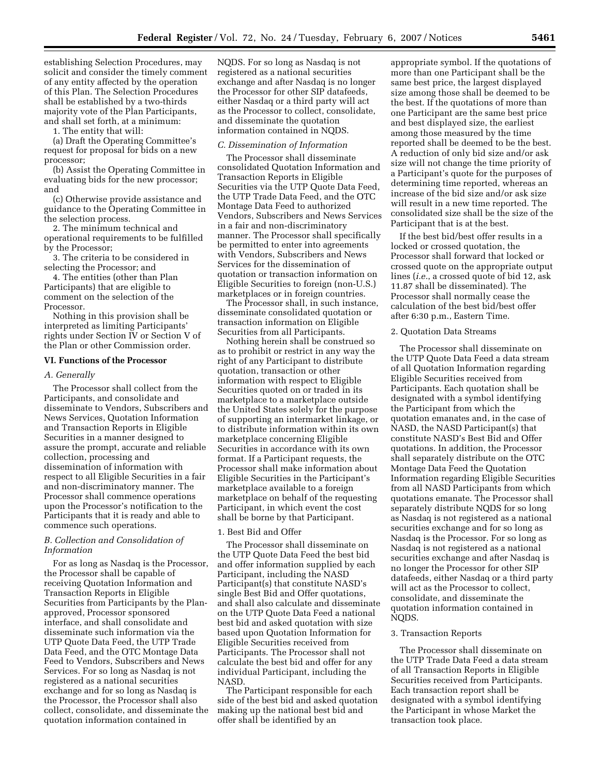establishing Selection Procedures, may solicit and consider the timely comment of any entity affected by the operation of this Plan. The Selection Procedures shall be established by a two-thirds majority vote of the Plan Participants, and shall set forth, at a minimum:

1. The entity that will:

(a) Draft the Operating Committee's request for proposal for bids on a new processor;

(b) Assist the Operating Committee in evaluating bids for the new processor; and

(c) Otherwise provide assistance and guidance to the Operating Committee in the selection process.

2. The minimum technical and operational requirements to be fulfilled by the Processor;

3. The criteria to be considered in selecting the Processor; and

4. The entities (other than Plan Participants) that are eligible to comment on the selection of the Processor.

Nothing in this provision shall be interpreted as limiting Participants' rights under Section IV or Section V of the Plan or other Commission order.

## **VI. Functions of the Processor**

# *A. Generally*

The Processor shall collect from the Participants, and consolidate and disseminate to Vendors, Subscribers and News Services, Quotation Information and Transaction Reports in Eligible Securities in a manner designed to assure the prompt, accurate and reliable collection, processing and dissemination of information with respect to all Eligible Securities in a fair and non-discriminatory manner. The Processor shall commence operations upon the Processor's notification to the Participants that it is ready and able to commence such operations.

# *B. Collection and Consolidation of Information*

For as long as Nasdaq is the Processor, the Processor shall be capable of receiving Quotation Information and Transaction Reports in Eligible Securities from Participants by the Planapproved, Processor sponsored interface, and shall consolidate and disseminate such information via the UTP Quote Data Feed, the UTP Trade Data Feed, and the OTC Montage Data Feed to Vendors, Subscribers and News Services. For so long as Nasdaq is not registered as a national securities exchange and for so long as Nasdaq is the Processor, the Processor shall also collect, consolidate, and disseminate the quotation information contained in

NQDS. For so long as Nasdaq is not registered as a national securities exchange and after Nasdaq is no longer the Processor for other SIP datafeeds, either Nasdaq or a third party will act as the Processor to collect, consolidate, and disseminate the quotation information contained in NQDS.

### *C. Dissemination of Information*

The Processor shall disseminate consolidated Quotation Information and Transaction Reports in Eligible Securities via the UTP Quote Data Feed, the UTP Trade Data Feed, and the OTC Montage Data Feed to authorized Vendors, Subscribers and News Services in a fair and non-discriminatory manner. The Processor shall specifically be permitted to enter into agreements with Vendors, Subscribers and News Services for the dissemination of quotation or transaction information on Eligible Securities to foreign (non-U.S.) marketplaces or in foreign countries.

The Processor shall, in such instance, disseminate consolidated quotation or transaction information on Eligible Securities from all Participants.

Nothing herein shall be construed so as to prohibit or restrict in any way the right of any Participant to distribute quotation, transaction or other information with respect to Eligible Securities quoted on or traded in its marketplace to a marketplace outside the United States solely for the purpose of supporting an intermarket linkage, or to distribute information within its own marketplace concerning Eligible Securities in accordance with its own format. If a Participant requests, the Processor shall make information about Eligible Securities in the Participant's marketplace available to a foreign marketplace on behalf of the requesting Participant, in which event the cost shall be borne by that Participant.

# 1. Best Bid and Offer

The Processor shall disseminate on the UTP Quote Data Feed the best bid and offer information supplied by each Participant, including the NASD Participant(s) that constitute NASD's single Best Bid and Offer quotations, and shall also calculate and disseminate on the UTP Quote Data Feed a national best bid and asked quotation with size based upon Quotation Information for Eligible Securities received from Participants. The Processor shall not calculate the best bid and offer for any individual Participant, including the NASD.

The Participant responsible for each side of the best bid and asked quotation making up the national best bid and offer shall be identified by an

appropriate symbol. If the quotations of more than one Participant shall be the same best price, the largest displayed size among those shall be deemed to be the best. If the quotations of more than one Participant are the same best price and best displayed size, the earliest among those measured by the time reported shall be deemed to be the best. A reduction of only bid size and/or ask size will not change the time priority of a Participant's quote for the purposes of determining time reported, whereas an increase of the bid size and/or ask size will result in a new time reported. The consolidated size shall be the size of the Participant that is at the best.

If the best bid/best offer results in a locked or crossed quotation, the Processor shall forward that locked or crossed quote on the appropriate output lines (*i.e.*, a crossed quote of bid 12, ask 11.87 shall be disseminated). The Processor shall normally cease the calculation of the best bid/best offer after 6:30 p.m., Eastern Time.

# 2. Quotation Data Streams

The Processor shall disseminate on the UTP Quote Data Feed a data stream of all Quotation Information regarding Eligible Securities received from Participants. Each quotation shall be designated with a symbol identifying the Participant from which the quotation emanates and, in the case of NASD, the NASD Participant(s) that constitute NASD's Best Bid and Offer quotations. In addition, the Processor shall separately distribute on the OTC Montage Data Feed the Quotation Information regarding Eligible Securities from all NASD Participants from which quotations emanate. The Processor shall separately distribute NQDS for so long as Nasdaq is not registered as a national securities exchange and for so long as Nasdaq is the Processor. For so long as Nasdaq is not registered as a national securities exchange and after Nasdaq is no longer the Processor for other SIP datafeeds, either Nasdaq or a third party will act as the Processor to collect, consolidate, and disseminate the quotation information contained in NQDS.

#### 3. Transaction Reports

The Processor shall disseminate on the UTP Trade Data Feed a data stream of all Transaction Reports in Eligible Securities received from Participants. Each transaction report shall be designated with a symbol identifying the Participant in whose Market the transaction took place.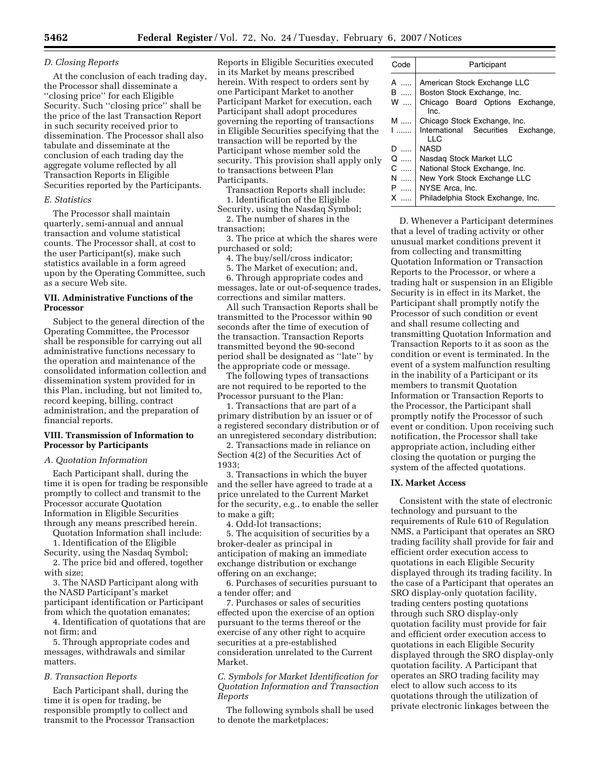# *D. Closing Reports*

At the conclusion of each trading day, the Processor shall disseminate a ''closing price'' for each Eligible Security. Such ''closing price'' shall be the price of the last Transaction Report in such security received prior to dissemination. The Processor shall also tabulate and disseminate at the conclusion of each trading day the aggregate volume reflected by all Transaction Reports in Eligible Securities reported by the Participants.

#### *E. Statistics*

The Processor shall maintain quarterly, semi-annual and annual transaction and volume statistical counts. The Processor shall, at cost to the user Participant(s), make such statistics available in a form agreed upon by the Operating Committee, such as a secure Web site.

# **VII. Administrative Functions of the Processor**

Subject to the general direction of the Operating Committee, the Processor shall be responsible for carrying out all administrative functions necessary to the operation and maintenance of the consolidated information collection and dissemination system provided for in this Plan, including, but not limited to, record keeping, billing, contract administration, and the preparation of financial reports.

# **VIII. Transmission of Information to Processor by Participants**

# *A. Quotation Information*

Each Participant shall, during the time it is open for trading be responsible promptly to collect and transmit to the Processor accurate Quotation Information in Eligible Securities through any means prescribed herein.

Quotation Information shall include: 1. Identification of the Eligible

Security, using the Nasdaq Symbol;

2. The price bid and offered, together with size;

3. The NASD Participant along with the NASD Participant's market participant identification or Participant from which the quotation emanates;

4. Identification of quotations that are not firm; and

5. Through appropriate codes and messages, withdrawals and similar matters.

# *B. Transaction Reports*

Each Participant shall, during the time it is open for trading, be responsible promptly to collect and transmit to the Processor Transaction Reports in Eligible Securities executed in its Market by means prescribed herein. With respect to orders sent by one Participant Market to another Participant Market for execution, each Participant shall adopt procedures governing the reporting of transactions in Eligible Securities specifying that the transaction will be reported by the Participant whose member sold the security. This provision shall apply only to transactions between Plan Participants.

Transaction Reports shall include: 1. Identification of the Eligible

Security, using the Nasdaq Symbol; 2. The number of shares in the

transaction;

3. The price at which the shares were purchased or sold;

4. The buy/sell/cross indicator;

5. The Market of execution; and,

6. Through appropriate codes and messages, late or out-of-sequence trades, corrections and similar matters.

All such Transaction Reports shall be transmitted to the Processor within 90 seconds after the time of execution of the transaction. Transaction Reports transmitted beyond the 90-second period shall be designated as ''late'' by the appropriate code or message.

The following types of transactions are not required to be reported to the Processor pursuant to the Plan:

1. Transactions that are part of a primary distribution by an issuer or of a registered secondary distribution or of an unregistered secondary distribution;

2. Transactions made in reliance on Section 4(2) of the Securities Act of 1933;

3. Transactions in which the buyer and the seller have agreed to trade at a price unrelated to the Current Market for the security, e.g., to enable the seller to make a gift;

4. Odd-lot transactions;

5. The acquisition of securities by a broker-dealer as principal in anticipation of making an immediate exchange distribution or exchange offering on an exchange;

6. Purchases of securities pursuant to a tender offer; and

7. Purchases or sales of securities effected upon the exercise of an option pursuant to the terms thereof or the exercise of any other right to acquire securities at a pre-established consideration unrelated to the Current Market.

*C. Symbols for Market Identification for Quotation Information and Transaction Reports* 

The following symbols shall be used to denote the marketplaces:

| Code   | Participant                                                |
|--------|------------------------------------------------------------|
| A<br>B | American Stock Exchange LLC<br>Boston Stock Exchange, Inc. |
| W      | Chicago Board Options Exchange,<br>Inc.                    |
| M      | Chicago Stock Exchange, Inc.                               |
| ا      | International Securities Exchange,<br>LLC                  |
| D      | <b>NASD</b>                                                |
| $Q$    | Nasdag Stock Market LLC                                    |
| C      | National Stock Exchange, Inc.                              |
| N      | New York Stock Exchange LLC                                |
| P      | NYSE Arca, Inc.                                            |
| X      | Philadelphia Stock Exchange, Inc.                          |

D. Whenever a Participant determines that a level of trading activity or other unusual market conditions prevent it from collecting and transmitting Quotation Information or Transaction Reports to the Processor, or where a trading halt or suspension in an Eligible Security is in effect in its Market, the Participant shall promptly notify the Processor of such condition or event and shall resume collecting and transmitting Quotation Information and Transaction Reports to it as soon as the condition or event is terminated. In the event of a system malfunction resulting in the inability of a Participant or its members to transmit Quotation Information or Transaction Reports to the Processor, the Participant shall promptly notify the Processor of such event or condition. Upon receiving such notification, the Processor shall take appropriate action, including either closing the quotation or purging the system of the affected quotations.

# **IX. Market Access**

Consistent with the state of electronic technology and pursuant to the requirements of Rule 610 of Regulation NMS, a Participant that operates an SRO trading facility shall provide for fair and efficient order execution access to quotations in each Eligible Security displayed through its trading facility. In the case of a Participant that operates an SRO display-only quotation facility, trading centers posting quotations through such SRO display-only quotation facility must provide for fair and efficient order execution access to quotations in each Eligible Security displayed through the SRO display-only quotation facility. A Participant that operates an SRO trading facility may elect to allow such access to its quotations through the utilization of private electronic linkages between the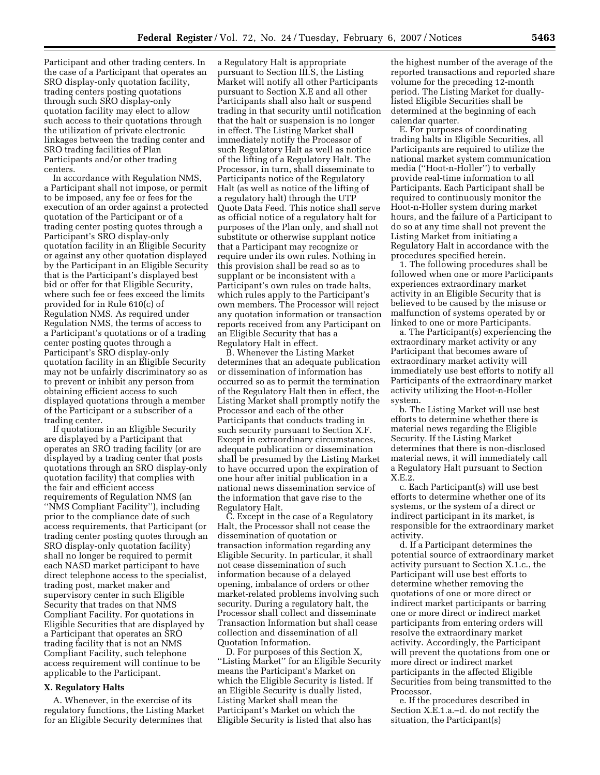Participant and other trading centers. In the case of a Participant that operates an SRO display-only quotation facility, trading centers posting quotations through such SRO display-only quotation facility may elect to allow such access to their quotations through the utilization of private electronic linkages between the trading center and SRO trading facilities of Plan Participants and/or other trading centers.

In accordance with Regulation NMS, a Participant shall not impose, or permit to be imposed, any fee or fees for the execution of an order against a protected quotation of the Participant or of a trading center posting quotes through a Participant's SRO display-only quotation facility in an Eligible Security or against any other quotation displayed by the Participant in an Eligible Security that is the Participant's displayed best bid or offer for that Eligible Security, where such fee or fees exceed the limits provided for in Rule 610(c) of Regulation NMS. As required under Regulation NMS, the terms of access to a Participant's quotations or of a trading center posting quotes through a Participant's SRO display-only quotation facility in an Eligible Security may not be unfairly discriminatory so as to prevent or inhibit any person from obtaining efficient access to such displayed quotations through a member of the Participant or a subscriber of a trading center.

If quotations in an Eligible Security are displayed by a Participant that operates an SRO trading facility (or are displayed by a trading center that posts quotations through an SRO display-only quotation facility) that complies with the fair and efficient access requirements of Regulation NMS (an ''NMS Compliant Facility''), including prior to the compliance date of such access requirements, that Participant (or trading center posting quotes through an SRO display-only quotation facility) shall no longer be required to permit each NASD market participant to have direct telephone access to the specialist, trading post, market maker and supervisory center in such Eligible Security that trades on that NMS Compliant Facility. For quotations in Eligible Securities that are displayed by a Participant that operates an SRO trading facility that is not an NMS Compliant Facility, such telephone access requirement will continue to be applicable to the Participant.

## **X. Regulatory Halts**

A. Whenever, in the exercise of its regulatory functions, the Listing Market for an Eligible Security determines that

a Regulatory Halt is appropriate pursuant to Section III.S, the Listing Market will notify all other Participants pursuant to Section X.E and all other Participants shall also halt or suspend trading in that security until notification that the halt or suspension is no longer in effect. The Listing Market shall immediately notify the Processor of such Regulatory Halt as well as notice of the lifting of a Regulatory Halt. The Processor, in turn, shall disseminate to Participants notice of the Regulatory Halt (as well as notice of the lifting of a regulatory halt) through the UTP Quote Data Feed. This notice shall serve as official notice of a regulatory halt for purposes of the Plan only, and shall not substitute or otherwise supplant notice that a Participant may recognize or require under its own rules. Nothing in this provision shall be read so as to supplant or be inconsistent with a Participant's own rules on trade halts, which rules apply to the Participant's own members. The Processor will reject any quotation information or transaction reports received from any Participant on an Eligible Security that has a Regulatory Halt in effect.

B. Whenever the Listing Market determines that an adequate publication or dissemination of information has occurred so as to permit the termination of the Regulatory Halt then in effect, the Listing Market shall promptly notify the Processor and each of the other Participants that conducts trading in such security pursuant to Section X.F. Except in extraordinary circumstances, adequate publication or dissemination shall be presumed by the Listing Market to have occurred upon the expiration of one hour after initial publication in a national news dissemination service of the information that gave rise to the Regulatory Halt.

C. Except in the case of a Regulatory Halt, the Processor shall not cease the dissemination of quotation or transaction information regarding any Eligible Security. In particular, it shall not cease dissemination of such information because of a delayed opening, imbalance of orders or other market-related problems involving such security. During a regulatory halt, the Processor shall collect and disseminate Transaction Information but shall cease collection and dissemination of all Quotation Information.

D. For purposes of this Section X, ''Listing Market'' for an Eligible Security means the Participant's Market on which the Eligible Security is listed. If an Eligible Security is dually listed, Listing Market shall mean the Participant's Market on which the Eligible Security is listed that also has

the highest number of the average of the reported transactions and reported share volume for the preceding 12-month period. The Listing Market for duallylisted Eligible Securities shall be determined at the beginning of each calendar quarter.

E. For purposes of coordinating trading halts in Eligible Securities, all Participants are required to utilize the national market system communication media (''Hoot-n-Holler'') to verbally provide real-time information to all Participants. Each Participant shall be required to continuously monitor the Hoot-n-Holler system during market hours, and the failure of a Participant to do so at any time shall not prevent the Listing Market from initiating a Regulatory Halt in accordance with the procedures specified herein.

1. The following procedures shall be followed when one or more Participants experiences extraordinary market activity in an Eligible Security that is believed to be caused by the misuse or malfunction of systems operated by or linked to one or more Participants.

a. The Participant(s) experiencing the extraordinary market activity or any Participant that becomes aware of extraordinary market activity will immediately use best efforts to notify all Participants of the extraordinary market activity utilizing the Hoot-n-Holler system.

b. The Listing Market will use best efforts to determine whether there is material news regarding the Eligible Security. If the Listing Market determines that there is non-disclosed material news, it will immediately call a Regulatory Halt pursuant to Section X.E.2.

c. Each Participant(s) will use best efforts to determine whether one of its systems, or the system of a direct or indirect participant in its market, is responsible for the extraordinary market activity.

d. If a Participant determines the potential source of extraordinary market activity pursuant to Section X.1.c., the Participant will use best efforts to determine whether removing the quotations of one or more direct or indirect market participants or barring one or more direct or indirect market participants from entering orders will resolve the extraordinary market activity. Accordingly, the Participant will prevent the quotations from one or more direct or indirect market participants in the affected Eligible Securities from being transmitted to the Processor.

e. If the procedures described in Section X.E.1.a.–d. do not rectify the situation, the Participant(s)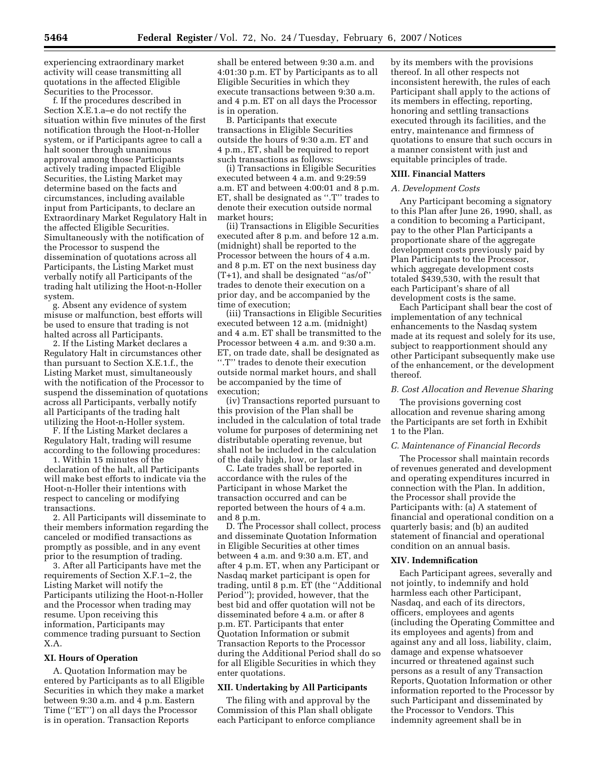experiencing extraordinary market activity will cease transmitting all quotations in the affected Eligible Securities to the Processor.

f. If the procedures described in Section X.E.1.a–e do not rectify the situation within five minutes of the first notification through the Hoot-n-Holler system, or if Participants agree to call a halt sooner through unanimous approval among those Participants actively trading impacted Eligible Securities, the Listing Market may determine based on the facts and circumstances, including available input from Participants, to declare an Extraordinary Market Regulatory Halt in the affected Eligible Securities. Simultaneously with the notification of the Processor to suspend the dissemination of quotations across all Participants, the Listing Market must verbally notify all Participants of the trading halt utilizing the Hoot-n-Holler system.

g. Absent any evidence of system misuse or malfunction, best efforts will be used to ensure that trading is not halted across all Participants.

2. If the Listing Market declares a Regulatory Halt in circumstances other than pursuant to Section X.E.1.f., the Listing Market must, simultaneously with the notification of the Processor to suspend the dissemination of quotations across all Participants, verbally notify all Participants of the trading halt utilizing the Hoot-n-Holler system.

F. If the Listing Market declares a Regulatory Halt, trading will resume according to the following procedures:

1. Within 15 minutes of the declaration of the halt, all Participants will make best efforts to indicate via the Hoot-n-Holler their intentions with respect to canceling or modifying transactions.

2. All Participants will disseminate to their members information regarding the canceled or modified transactions as promptly as possible, and in any event prior to the resumption of trading.

3. After all Participants have met the requirements of Section X.F.1–2, the Listing Market will notify the Participants utilizing the Hoot-n-Holler and the Processor when trading may resume. Upon receiving this information, Participants may commence trading pursuant to Section X.A.

# **XI. Hours of Operation**

A. Quotation Information may be entered by Participants as to all Eligible Securities in which they make a market between 9:30 a.m. and 4 p.m. Eastern Time (''ET'') on all days the Processor is in operation. Transaction Reports

shall be entered between 9:30 a.m. and 4:01:30 p.m. ET by Participants as to all Eligible Securities in which they execute transactions between 9:30 a.m. and 4 p.m. ET on all days the Processor is in operation.

B. Participants that execute transactions in Eligible Securities outside the hours of 9:30 a.m. ET and 4 p.m., ET, shall be required to report such transactions as follows:

(i) Transactions in Eligible Securities executed between 4 a.m. and 9:29:59 a.m. ET and between 4:00:01 and 8 p.m. ET, shall be designated as ''.T'' trades to denote their execution outside normal market hours;

(ii) Transactions in Eligible Securities executed after 8 p.m. and before 12 a.m. (midnight) shall be reported to the Processor between the hours of 4 a.m. and 8 p.m. ET on the next business day (T+1), and shall be designated ''as/of'' trades to denote their execution on a prior day, and be accompanied by the time of execution;

(iii) Transactions in Eligible Securities executed between 12 a.m. (midnight) and 4 a.m. ET shall be transmitted to the Processor between 4 a.m. and 9:30 a.m. ET, on trade date, shall be designated as ''.T'' trades to denote their execution outside normal market hours, and shall be accompanied by the time of execution;

(iv) Transactions reported pursuant to this provision of the Plan shall be included in the calculation of total trade volume for purposes of determining net distributable operating revenue, but shall not be included in the calculation of the daily high, low, or last sale.

C. Late trades shall be reported in accordance with the rules of the Participant in whose Market the transaction occurred and can be reported between the hours of 4 a.m. and 8 p.m.

D. The Processor shall collect, process and disseminate Quotation Information in Eligible Securities at other times between 4 a.m. and 9:30 a.m. ET, and after 4 p.m. ET, when any Participant or Nasdaq market participant is open for trading, until 8 p.m. ET (the ''Additional Period''); provided, however, that the best bid and offer quotation will not be disseminated before 4 a.m. or after 8 p.m. ET. Participants that enter Quotation Information or submit Transaction Reports to the Processor during the Additional Period shall do so for all Eligible Securities in which they enter quotations.

#### **XII. Undertaking by All Participants**

The filing with and approval by the Commission of this Plan shall obligate each Participant to enforce compliance by its members with the provisions thereof. In all other respects not inconsistent herewith, the rules of each Participant shall apply to the actions of its members in effecting, reporting, honoring and settling transactions executed through its facilities, and the entry, maintenance and firmness of quotations to ensure that such occurs in a manner consistent with just and equitable principles of trade.

### **XIII. Financial Matters**

# *A. Development Costs*

Any Participant becoming a signatory to this Plan after June 26, 1990, shall, as a condition to becoming a Participant, pay to the other Plan Participants a proportionate share of the aggregate development costs previously paid by Plan Participants to the Processor, which aggregate development costs totaled \$439,530, with the result that each Participant's share of all development costs is the same.

Each Participant shall bear the cost of implementation of any technical enhancements to the Nasdaq system made at its request and solely for its use, subject to reapportionment should any other Participant subsequently make use of the enhancement, or the development thereof.

### *B. Cost Allocation and Revenue Sharing*

The provisions governing cost allocation and revenue sharing among the Participants are set forth in Exhibit 1 to the Plan.

#### *C. Maintenance of Financial Records*

The Processor shall maintain records of revenues generated and development and operating expenditures incurred in connection with the Plan. In addition, the Processor shall provide the Participants with: (a) A statement of financial and operational condition on a quarterly basis; and (b) an audited statement of financial and operational condition on an annual basis.

#### **XIV. Indemnification**

Each Participant agrees, severally and not jointly, to indemnify and hold harmless each other Participant, Nasdaq, and each of its directors, officers, employees and agents (including the Operating Committee and its employees and agents) from and against any and all loss, liability, claim, damage and expense whatsoever incurred or threatened against such persons as a result of any Transaction Reports, Quotation Information or other information reported to the Processor by such Participant and disseminated by the Processor to Vendors. This indemnity agreement shall be in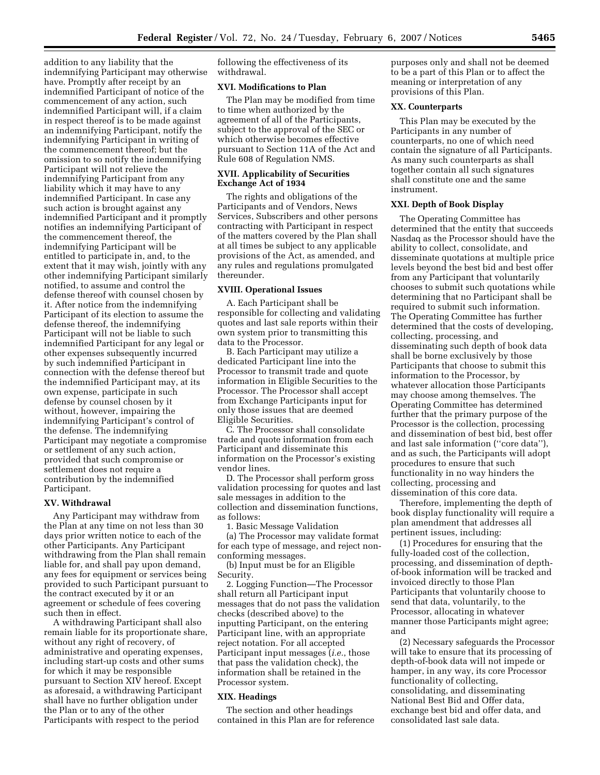addition to any liability that the indemnifying Participant may otherwise have. Promptly after receipt by an indemnified Participant of notice of the commencement of any action, such indemnified Participant will, if a claim in respect thereof is to be made against an indemnifying Participant, notify the indemnifying Participant in writing of the commencement thereof; but the omission to so notify the indemnifying Participant will not relieve the indemnifying Participant from any liability which it may have to any indemnified Participant. In case any such action is brought against any indemnified Participant and it promptly notifies an indemnifying Participant of the commencement thereof, the indemnifying Participant will be entitled to participate in, and, to the extent that it may wish, jointly with any other indemnifying Participant similarly notified, to assume and control the defense thereof with counsel chosen by it. After notice from the indemnifying Participant of its election to assume the defense thereof, the indemnifying Participant will not be liable to such indemnified Participant for any legal or other expenses subsequently incurred by such indemnified Participant in connection with the defense thereof but the indemnified Participant may, at its own expense, participate in such defense by counsel chosen by it without, however, impairing the indemnifying Participant's control of the defense. The indemnifying Participant may negotiate a compromise or settlement of any such action, provided that such compromise or settlement does not require a contribution by the indemnified Participant.

## **XV. Withdrawal**

Any Participant may withdraw from the Plan at any time on not less than 30 days prior written notice to each of the other Participants. Any Participant withdrawing from the Plan shall remain liable for, and shall pay upon demand, any fees for equipment or services being provided to such Participant pursuant to the contract executed by it or an agreement or schedule of fees covering such then in effect.

A withdrawing Participant shall also remain liable for its proportionate share, without any right of recovery, of administrative and operating expenses, including start-up costs and other sums for which it may be responsible pursuant to Section XIV hereof. Except as aforesaid, a withdrawing Participant shall have no further obligation under the Plan or to any of the other Participants with respect to the period

following the effectiveness of its withdrawal.

## **XVI. Modifications to Plan**

The Plan may be modified from time to time when authorized by the agreement of all of the Participants, subject to the approval of the SEC or which otherwise becomes effective pursuant to Section 11A of the Act and Rule 608 of Regulation NMS.

### **XVII. Applicability of Securities Exchange Act of 1934**

The rights and obligations of the Participants and of Vendors, News Services, Subscribers and other persons contracting with Participant in respect of the matters covered by the Plan shall at all times be subject to any applicable provisions of the Act, as amended, and any rules and regulations promulgated thereunder.

#### **XVIII. Operational Issues**

A. Each Participant shall be responsible for collecting and validating quotes and last sale reports within their own system prior to transmitting this data to the Processor.

B. Each Participant may utilize a dedicated Participant line into the Processor to transmit trade and quote information in Eligible Securities to the Processor. The Processor shall accept from Exchange Participants input for only those issues that are deemed Eligible Securities.

C. The Processor shall consolidate trade and quote information from each Participant and disseminate this information on the Processor's existing vendor lines.

D. The Processor shall perform gross validation processing for quotes and last sale messages in addition to the collection and dissemination functions, as follows:

1. Basic Message Validation

(a) The Processor may validate format for each type of message, and reject nonconforming messages.

(b) Input must be for an Eligible Security.

2. Logging Function—The Processor shall return all Participant input messages that do not pass the validation checks (described above) to the inputting Participant, on the entering Participant line, with an appropriate reject notation. For all accepted Participant input messages (*i.e.*, those that pass the validation check), the information shall be retained in the Processor system.

#### **XIX. Headings**

The section and other headings contained in this Plan are for reference purposes only and shall not be deemed to be a part of this Plan or to affect the meaning or interpretation of any provisions of this Plan.

## **XX. Counterparts**

This Plan may be executed by the Participants in any number of counterparts, no one of which need contain the signature of all Participants. As many such counterparts as shall together contain all such signatures shall constitute one and the same instrument.

# **XXI. Depth of Book Display**

The Operating Committee has determined that the entity that succeeds Nasdaq as the Processor should have the ability to collect, consolidate, and disseminate quotations at multiple price levels beyond the best bid and best offer from any Participant that voluntarily chooses to submit such quotations while determining that no Participant shall be required to submit such information. The Operating Committee has further determined that the costs of developing, collecting, processing, and disseminating such depth of book data shall be borne exclusively by those Participants that choose to submit this information to the Processor, by whatever allocation those Participants may choose among themselves. The Operating Committee has determined further that the primary purpose of the Processor is the collection, processing and dissemination of best bid, best offer and last sale information (''core data''), and as such, the Participants will adopt procedures to ensure that such functionality in no way hinders the collecting, processing and dissemination of this core data.

Therefore, implementing the depth of book display functionality will require a plan amendment that addresses all pertinent issues, including:

(1) Procedures for ensuring that the fully-loaded cost of the collection, processing, and dissemination of depthof-book information will be tracked and invoiced directly to those Plan Participants that voluntarily choose to send that data, voluntarily, to the Processor, allocating in whatever manner those Participants might agree; and

(2) Necessary safeguards the Processor will take to ensure that its processing of depth-of-book data will not impede or hamper, in any way, its core Processor functionality of collecting, consolidating, and disseminating National Best Bid and Offer data, exchange best bid and offer data, and consolidated last sale data.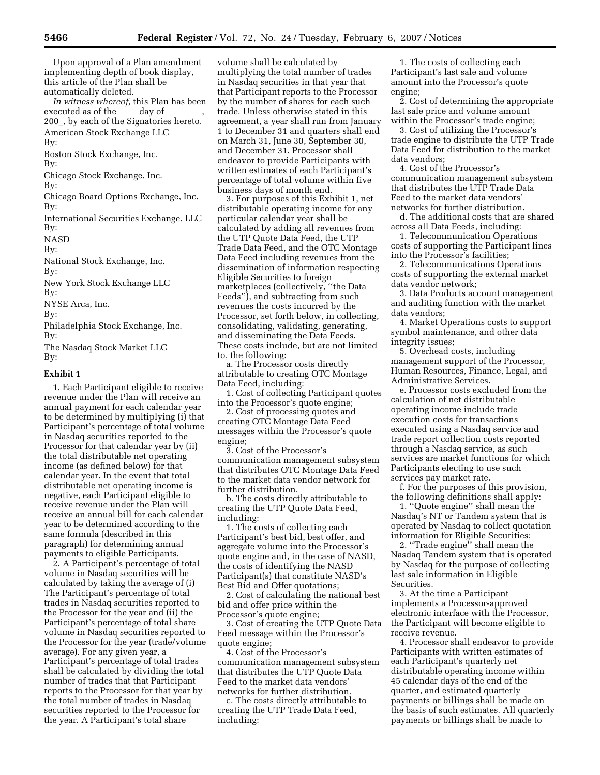Upon approval of a Plan amendment implementing depth of book display, this article of the Plan shall be automatically deleted.

*In witness whereof,* this Plan has been executed as of the \_\_\_ day of \_\_\_\_\_,<br>200\_, by each of the Signatories hereto. American Stock Exchange LLC By:

Boston Stock Exchange, Inc.

By:

Chicago Stock Exchange, Inc.

By:

Chicago Board Options Exchange, Inc. By:

International Securities Exchange, LLC By:

NASD

By:

National Stock Exchange, Inc.

By:

New York Stock Exchange LLC By:

NYSE Arca, Inc.

By:

Philadelphia Stock Exchange, Inc. By:

The Nasdaq Stock Market LLC By:

# **Exhibit 1**

1. Each Participant eligible to receive revenue under the Plan will receive an annual payment for each calendar year to be determined by multiplying (i) that Participant's percentage of total volume in Nasdaq securities reported to the Processor for that calendar year by (ii) the total distributable net operating income (as defined below) for that calendar year. In the event that total distributable net operating income is negative, each Participant eligible to receive revenue under the Plan will receive an annual bill for each calendar year to be determined according to the same formula (described in this paragraph) for determining annual payments to eligible Participants.

2. A Participant's percentage of total volume in Nasdaq securities will be calculated by taking the average of (i) The Participant's percentage of total trades in Nasdaq securities reported to the Processor for the year and (ii) the Participant's percentage of total share volume in Nasdaq securities reported to the Processor for the year (trade/volume average). For any given year, a Participant's percentage of total trades shall be calculated by dividing the total number of trades that that Participant reports to the Processor for that year by the total number of trades in Nasdaq securities reported to the Processor for the year. A Participant's total share

volume shall be calculated by multiplying the total number of trades in Nasdaq securities in that year that that Participant reports to the Processor by the number of shares for each such trade. Unless otherwise stated in this agreement, a year shall run from January 1 to December 31 and quarters shall end on March 31, June 30, September 30, and December 31. Processor shall endeavor to provide Participants with written estimates of each Participant's percentage of total volume within five business days of month end.

3. For purposes of this Exhibit 1, net distributable operating income for any particular calendar year shall be calculated by adding all revenues from the UTP Quote Data Feed, the UTP Trade Data Feed, and the OTC Montage Data Feed including revenues from the dissemination of information respecting Eligible Securities to foreign marketplaces (collectively, ''the Data Feeds''), and subtracting from such revenues the costs incurred by the Processor, set forth below, in collecting, consolidating, validating, generating, and disseminating the Data Feeds. These costs include, but are not limited to, the following:

a. The Processor costs directly attributable to creating OTC Montage Data Feed, including:

1. Cost of collecting Participant quotes into the Processor's quote engine;

2. Cost of processing quotes and creating OTC Montage Data Feed messages within the Processor's quote engine;

3. Cost of the Processor's communication management subsystem that distributes OTC Montage Data Feed to the market data vendor network for further distribution.

b. The costs directly attributable to creating the UTP Quote Data Feed, including:

1. The costs of collecting each Participant's best bid, best offer, and aggregate volume into the Processor's quote engine and, in the case of NASD, the costs of identifying the NASD Participant(s) that constitute NASD's Best Bid and Offer quotations;

2. Cost of calculating the national best bid and offer price within the Processor's quote engine;

3. Cost of creating the UTP Quote Data Feed message within the Processor's quote engine;

4. Cost of the Processor's communication management subsystem that distributes the UTP Quote Data Feed to the market data vendors' networks for further distribution.

c. The costs directly attributable to creating the UTP Trade Data Feed, including:

1. The costs of collecting each Participant's last sale and volume amount into the Processor's quote engine;

2. Cost of determining the appropriate last sale price and volume amount within the Processor's trade engine;

3. Cost of utilizing the Processor's trade engine to distribute the UTP Trade Data Feed for distribution to the market data vendors;

4. Cost of the Processor's communication management subsystem that distributes the UTP Trade Data Feed to the market data vendors' networks for further distribution.

d. The additional costs that are shared across all Data Feeds, including:

1. Telecommunication Operations costs of supporting the Participant lines into the Processor's facilities;

2. Telecommunications Operations costs of supporting the external market data vendor network;

3. Data Products account management and auditing function with the market data vendors;

4. Market Operations costs to support symbol maintenance, and other data integrity issues;

5. Overhead costs, including management support of the Processor, Human Resources, Finance, Legal, and Administrative Services.

e. Processor costs excluded from the calculation of net distributable operating income include trade execution costs for transactions executed using a Nasdaq service and trade report collection costs reported through a Nasdaq service, as such services are market functions for which Participants electing to use such services pay market rate.

f. For the purposes of this provision, the following definitions shall apply:

1. ''Quote engine'' shall mean the Nasdaq's NT or Tandem system that is operated by Nasdaq to collect quotation information for Eligible Securities;

2. ''Trade engine'' shall mean the Nasdaq Tandem system that is operated by Nasdaq for the purpose of collecting last sale information in Eligible Securities.

3. At the time a Participant implements a Processor-approved electronic interface with the Processor, the Participant will become eligible to receive revenue.

4. Processor shall endeavor to provide Participants with written estimates of each Participant's quarterly net distributable operating income within 45 calendar days of the end of the quarter, and estimated quarterly payments or billings shall be made on the basis of such estimates. All quarterly payments or billings shall be made to